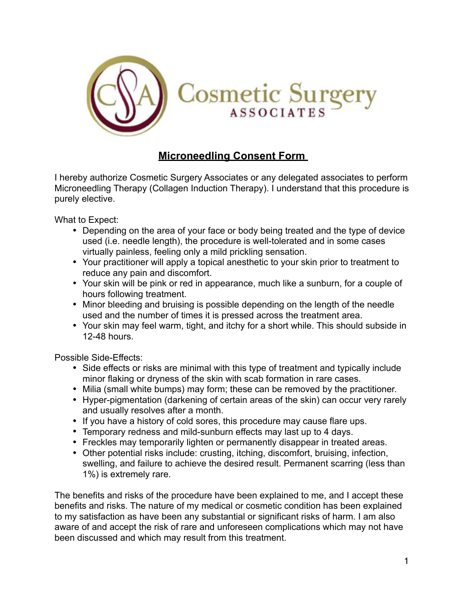

## **Microneedling Consent Form**

I hereby authorize Cosmetic Surgery Associates or any delegated associates to perform Microneedling Therapy (Collagen Induction Therapy). I understand that this procedure is purely elective.

What to Expect:

- Depending on the area of your face or body being treated and the type of device used (i.e. needle length), the procedure is well-tolerated and in some cases virtually painless, feeling only a mild prickling sensation.
- Your practitioner will apply a topical anesthetic to your skin prior to treatment to reduce any pain and discomfort.
- Your skin will be pink or red in appearance, much like a sunburn, for a couple of hours following treatment.
- Minor bleeding and bruising is possible depending on the length of the needle used and the number of times it is pressed across the treatment area.
- Your skin may feel warm, tight, and itchy for a short while. This should subside in 12-48 hours.

Possible Side-Effects:

- Side effects or risks are minimal with this type of treatment and typically include minor flaking or dryness of the skin with scab formation in rare cases.
- Milia (small white bumps) may form; these can be removed by the practitioner.
- Hyper-pigmentation (darkening of certain areas of the skin) can occur very rarely and usually resolves after a month.
- If you have a history of cold sores, this procedure may cause flare ups.
- Temporary redness and mild-sunburn effects may last up to 4 days.
- Freckles may temporarily lighten or permanently disappear in treated areas.
- Other potential risks include: crusting, itching, discomfort, bruising, infection, swelling, and failure to achieve the desired result. Permanent scarring (less than 1%) is extremely rare.

The benefits and risks of the procedure have been explained to me, and I accept these benefits and risks. The nature of my medical or cosmetic condition has been explained to my satisfaction as have been any substantial or significant risks of harm. I am also aware of and accept the risk of rare and unforeseen complications which may not have been discussed and which may result from this treatment.